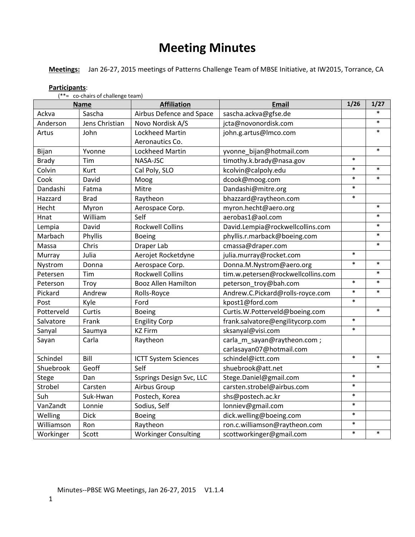# **Meeting Minutes**

**Meetings:** Jan 26-27, 2015 meetings of Patterns Challenge Team of MBSE Initiative, at IW2015, Torrance, CA

|              | (**= co-chairs of challenge team)<br><b>Name</b> | <b>Affiliation</b>          | <b>Email</b>                       | 1/26   | 1/27   |
|--------------|--------------------------------------------------|-----------------------------|------------------------------------|--------|--------|
| Ackva        | Sascha                                           | Airbus Defence and Space    | sascha.ackva@gfse.de               |        | $\ast$ |
| Anderson     | Jens Christian                                   | Novo Nordisk A/S            | jcta@novonordisk.com               |        | $\ast$ |
| Artus        | John                                             | Lockheed Martin             | john.g.artus@lmco.com              |        | $\ast$ |
|              |                                                  | Aeronautics Co.             |                                    |        |        |
| Bijan        | Yvonne                                           | Lockheed Martin             | yvonne bijan@hotmail.com           |        | $\ast$ |
| <b>Brady</b> | Tim                                              | NASA-JSC                    | timothy.k.brady@nasa.gov           | $\ast$ |        |
| Colvin       | Kurt                                             | Cal Poly, SLO               | kcolvin@calpoly.edu                | $\ast$ | $\ast$ |
| Cook         | David                                            | Moog                        | dcook@moog.com                     | $\ast$ | $\ast$ |
| Dandashi     | Fatma                                            | Mitre                       | Dandashi@mitre.org                 | $\ast$ |        |
| Hazzard      | <b>Brad</b>                                      | Raytheon                    | bhazzard@raytheon.com              | $\ast$ |        |
| Hecht        | Myron                                            | Aerospace Corp.             | myron.hecht@aero.org               |        | $\ast$ |
| Hnat         | William                                          | Self                        | aerobas1@aol.com                   |        | $\ast$ |
| Lempia       | David                                            | <b>Rockwell Collins</b>     | David.Lempia@rockwellcollins.com   |        | $\ast$ |
| Marbach      | Phyllis                                          | <b>Boeing</b>               | phyllis.r.marback@boeing.com       |        | $\ast$ |
| Massa        | Chris                                            | Draper Lab                  | cmassa@draper.com                  |        | $\ast$ |
| Murray       | Julia                                            | Aerojet Rocketdyne          | julia.murray@rocket.com            | $\ast$ |        |
| Nystrom      | Donna                                            | Aerospace Corp.             | Donna.M.Nystrom@aero.org           | $\ast$ | $\ast$ |
| Petersen     | Tim                                              | <b>Rockwell Collins</b>     | tim.w.petersen@rockwellcollins.com |        | $\ast$ |
| Peterson     | Troy                                             | <b>Booz Allen Hamilton</b>  | peterson_troy@bah.com              | $\ast$ | $\ast$ |
| Pickard      | Andrew                                           | Rolls-Royce                 | Andrew.C.Pickard@rolls-royce.com   | $\ast$ | $\ast$ |
| Post         | Kyle                                             | Ford                        | kpost1@ford.com                    | $\ast$ |        |
| Potterveld   | Curtis                                           | <b>Boeing</b>               | Curtis.W.Potterveld@boeing.com     |        | $\ast$ |
| Salvatore    | Frank                                            | <b>Engility Corp</b>        | frank.salvatore@engilitycorp.com   | $\ast$ |        |
| Sanyal       | Saumya                                           | <b>KZ Firm</b>              | sksanyal@visi.com                  | $\ast$ |        |
| Sayan        | Carla                                            | Raytheon                    | carla_m_sayan@raytheon.com;        |        |        |
|              |                                                  |                             | carlasayan07@hotmail.com           |        |        |
| Schindel     | Bill                                             | <b>ICTT System Sciences</b> | schindel@ictt.com                  | $\ast$ | $\ast$ |
| Shuebrook    | Geoff                                            | Self                        | shuebrook@att.net                  |        | $\ast$ |
| Stege        | Dan                                              | Ssprings Design Svc, LLC    | Stege.Daniel@gmail.com             | $\ast$ |        |
| Strobel      | Carsten                                          | Airbus Group                | carsten.strobel@airbus.com         | $\ast$ |        |
| Suh          | Suk-Hwan                                         | Postech, Korea              | shs@postech.ac.kr                  | $\ast$ |        |
| VanZandt     | Lonnie                                           | Sodius, Self                | lonniev@gmail.com                  | $\ast$ |        |
| Welling      | <b>Dick</b>                                      | <b>Boeing</b>               | dick.welling@boeing.com            | $\ast$ |        |
| Williamson   | Ron                                              | Raytheon                    | ron.c.williamson@raytheon.com      | $\ast$ |        |
| Workinger    | Scott                                            | <b>Workinger Consulting</b> | scottworkinger@gmail.com           | $\ast$ | $\ast$ |

**Participants**:

 $(f_{\text{ch}})$